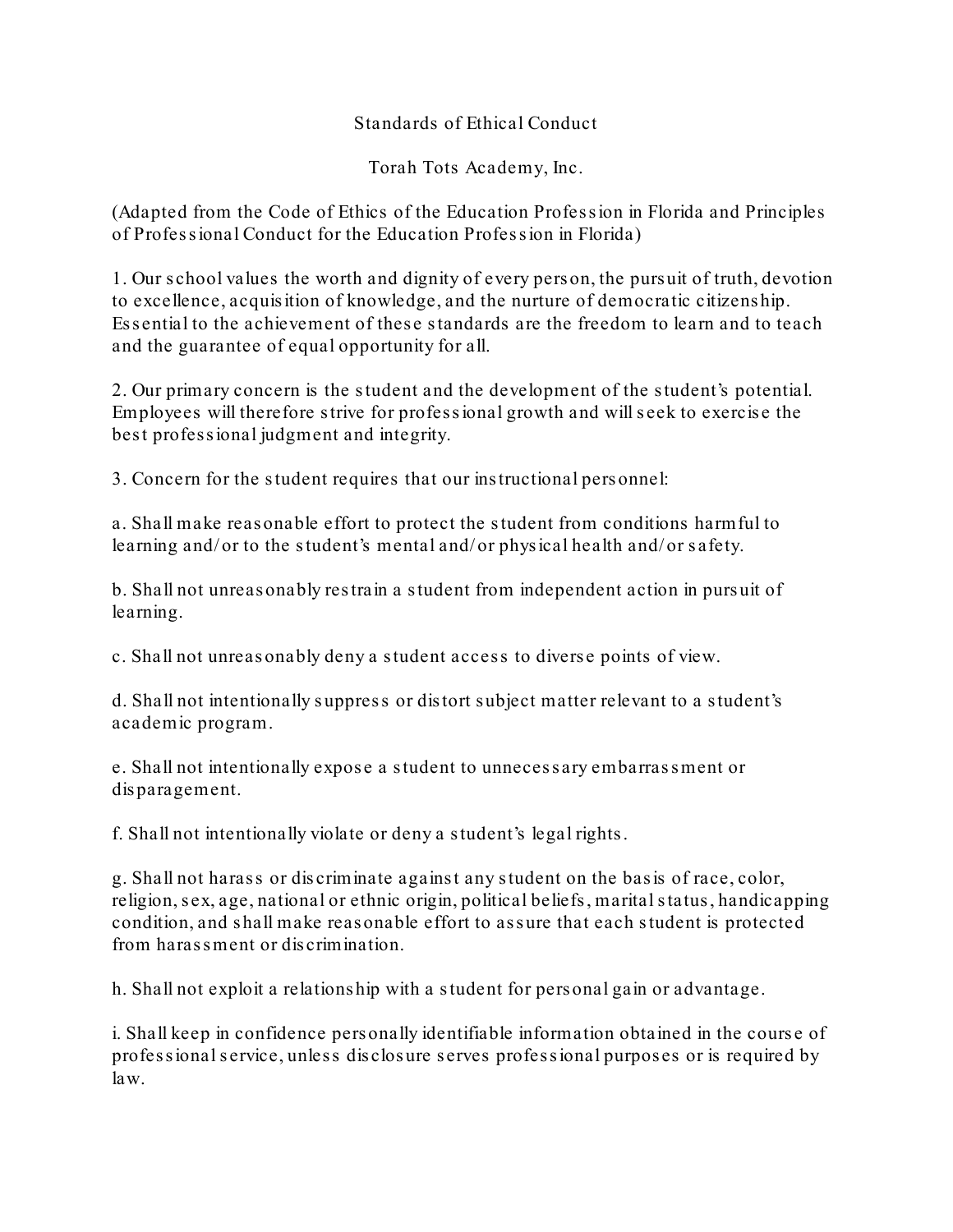## Standards of Ethical Conduct

Torah Tots Academy, Inc.

(Adapted from the Code of Ethics of the Education Profession in Florida and Principles of Profes s ional Conduct for the Education Profes s ion in Florida)

1. Our s chool values the worth and dignity of every pers on, the pursuit of truth, devotion to excellence, acquis ition of knowledge, and the nurture of democratic citizens hip. Es s ential to the achievement of thes e s tandards are the freedom to learn and to teach and the guarantee of equal opportunity for all.

2. Our primary concern is the s tudent and the development of the s tudent's potential. Employees will therefore s trive for profess ional growth and will s eek to exercis e the bes t profess ional judgment and integrity.

3. Concern for the s tudent requires that our ins tructional pers onnel:

a. Shall make reas onable effort to protect the s tudent from conditions harmful to learning and/ or to the student's mental and/ or physical health and/ or safety.

b. Shall not unreas onably res train a s tudent from independent action in purs uit of learning.

c. Shall not unreas onably deny a s tudent acces s to divers e points of view.

d. Shall not intentionally s uppres s or dis tort subject matter relevant to a s tudent's academic program.

e. Shall not intentionally expos e a s tudent to unneces s ary embarras s ment or dis paragement.

f. Shall not intentionally violate or deny a s tudent's legal rights .

g. Shall not haras s or dis criminate agains t any s tudent on the bas is of race, color, religion, s ex, age, national or ethnic origin, political beliefs , marital s tatus , handicapping condition, and shall make reasonable effort to assure that each student is protected from haras sment or discrimination.

h. Shall not exploit a relations hip with a s tudent for pers onal gain or advantage.

i. Shall keep in confidence personally identifiable information obtained in the course of profes sional service, unless disclosure serves profes sional purposes or is required by law.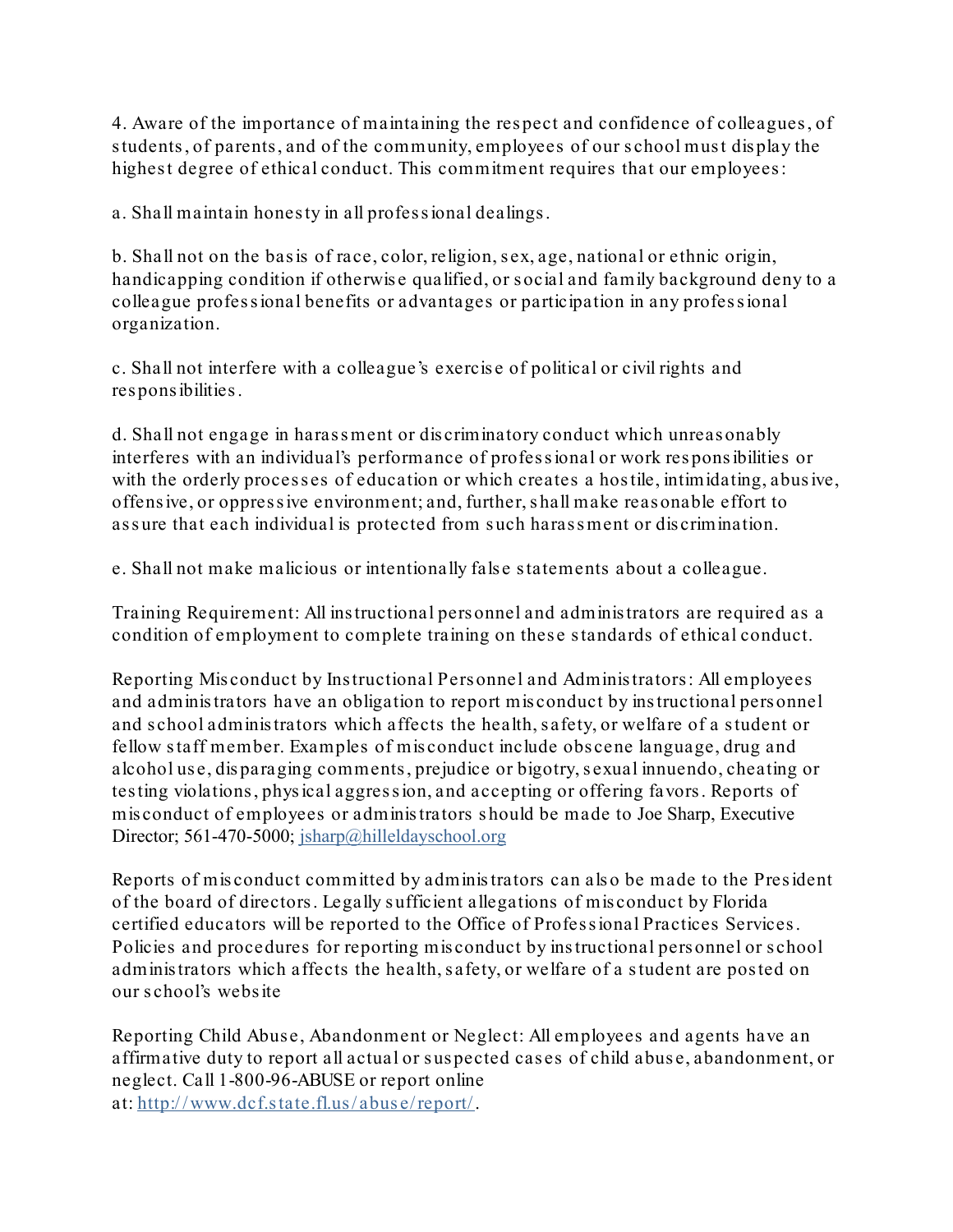4. Aware of the importance of maintaining the res pect and confidence of colleagues , of students, of parents, and of the community, employees of our school must display the highest degree of ethical conduct. This commitment requires that our employees:

a. Shall maintain hones ty in all profes s ional dealings .

b. Shall not on the bas is of race, color, religion, s ex, age, national or ethnic origin, handicapping condition if otherwis e qualified, or s ocial and family background deny to a colleague profes s ional benefits or advantages or participation in any profes s ional organization.

c. Shall not interfere with a colleague's exercis e of political or civil rights and res pons ibilities .

d. Shall not engage in haras sment or discriminatory conduct which unreas onably interferes with an individual's performance of profes s ional or work res pons ibilities or with the orderly processes of education or which creates a hostile, intimidating, abusive, offens ive, or oppres s ive environment; and, further, s hall make reas onable effort to assure that each individual is protected from such harassment or discrimination.

e. Shall not make malicious or intentionally fals e s tatements about a colleague.

Training Requirement: All ins tructional pers onnel and adminis trators are required as a condition of employment to complete training on these standards of ethical conduct.

Reporting Misconduct by Instructional Personnel and Administrators: All employees and adminis trators have an obligation to report mis conduct by ins tructional pers onnel and s chool adminis trators which affects the health, s afety, or welfare of a s tudent or fellow s taff member. Examples of mis conduct include obs cene language, drug and alcohol use, disparaging comments, prejudice or bigotry, sexual innuendo, cheating or tes ting violations , phys ical aggres s ion, and accepting or offering favors . Reports of mis conduct of employees or adminis trators s hould be made to Joe Sharp, Executive Director; 561-470-5000; jsharp@hilleldayschool.org

Reports of mis conduct committed by adminis trators can als o be made to the Pres ident of the board of directors . Legally s ufficient allegations of mis conduct by Florida certified educators will be reported to the Office of Professional Practices Services. Policies and procedures for reporting mis conduct by ins tructional pers onnel or s chool adminis trators which affects the health, s afety, or welfare of a s tudent are pos ted on our s chool's webs ite

Reporting Child Abuse, Abandonment or Neglect: All employees and agents have an affirmative duty to report all actual or s us pected cas es of child abus e, abandonment, or neglect. Call 1-800-96-ABUSE or report online at: [http:/ / www.dcf.s tate.fl.us / abus e/ report/.](http://www.dcf.state.fl.us/abuse/report/)